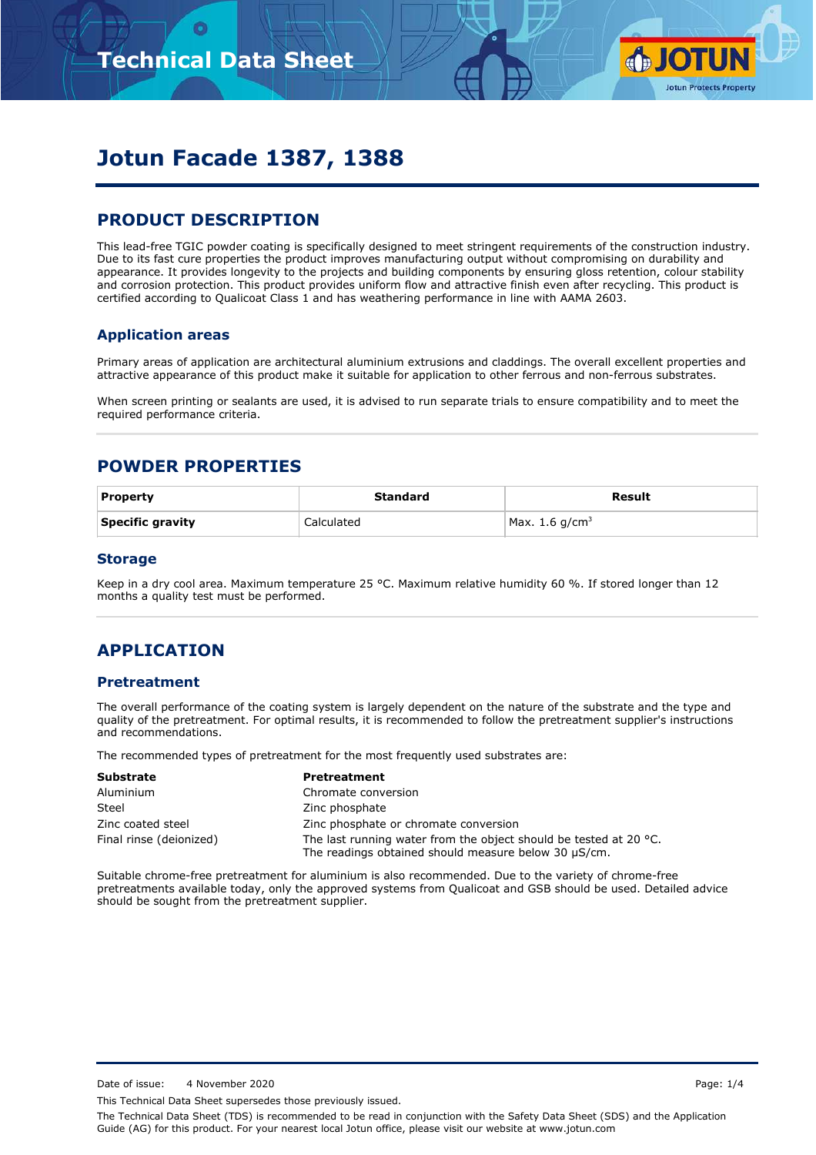

# **Jotun Facade 1387, 1388**

# **PRODUCT DESCRIPTION**

This lead-free TGIC powder coating is specifically designed to meet stringent requirements of the construction industry. Due to its fast cure properties the product improves manufacturing output without compromising on durability and appearance. It provides longevity to the projects and building components by ensuring gloss retention, colour stability and corrosion protection. This product provides uniform flow and attractive finish even after recycling. This product is certified according to Qualicoat Class 1 and has weathering performance in line with AAMA 2603.

#### **Application areas**

Primary areas of application are architectural aluminium extrusions and claddings. The overall excellent properties and attractive appearance of this product make it suitable for application to other ferrous and non-ferrous substrates.

When screen printing or sealants are used, it is advised to run separate trials to ensure compatibility and to meet the required performance criteria.

### **POWDER PROPERTIES**

| <b>Property</b>  | Standard   | Result           |
|------------------|------------|------------------|
| Specific gravity | Calculated | Max. 1.6 $q/cm3$ |

#### **Storage**

Keep in a dry cool area. Maximum temperature 25 °C. Maximum relative humidity 60 %. If stored longer than 12 months a quality test must be performed.

# **APPLICATION**

#### **Pretreatment**

The overall performance of the coating system is largely dependent on the nature of the substrate and the type and quality of the pretreatment. For optimal results, it is recommended to follow the pretreatment supplier's instructions and recommendations.

The recommended types of pretreatment for the most frequently used substrates are:

| <b>Substrate</b>        | <b>Pretreatment</b>                                                                                                       |
|-------------------------|---------------------------------------------------------------------------------------------------------------------------|
| Aluminium               | Chromate conversion                                                                                                       |
| Steel                   | Zinc phosphate                                                                                                            |
| Zinc coated steel       | Zinc phosphate or chromate conversion                                                                                     |
| Final rinse (deionized) | The last running water from the object should be tested at 20 °C.<br>The readings obtained should measure below 30 µS/cm. |

Suitable chrome-free pretreatment for aluminium is also recommended. Due to the variety of chrome-free pretreatments available today, only the approved systems from Qualicoat and GSB should be used. Detailed advice should be sought from the pretreatment supplier.

Date of issue: 4 November 2020 **Page: 1/4** 

This Technical Data Sheet supersedes those previously issued.

The Technical Data Sheet (TDS) is recommended to be read in conjunction with the Safety Data Sheet (SDS) and the Application Guide (AG) for this product. For your nearest local Jotun office, please visit our website at www.jotun.com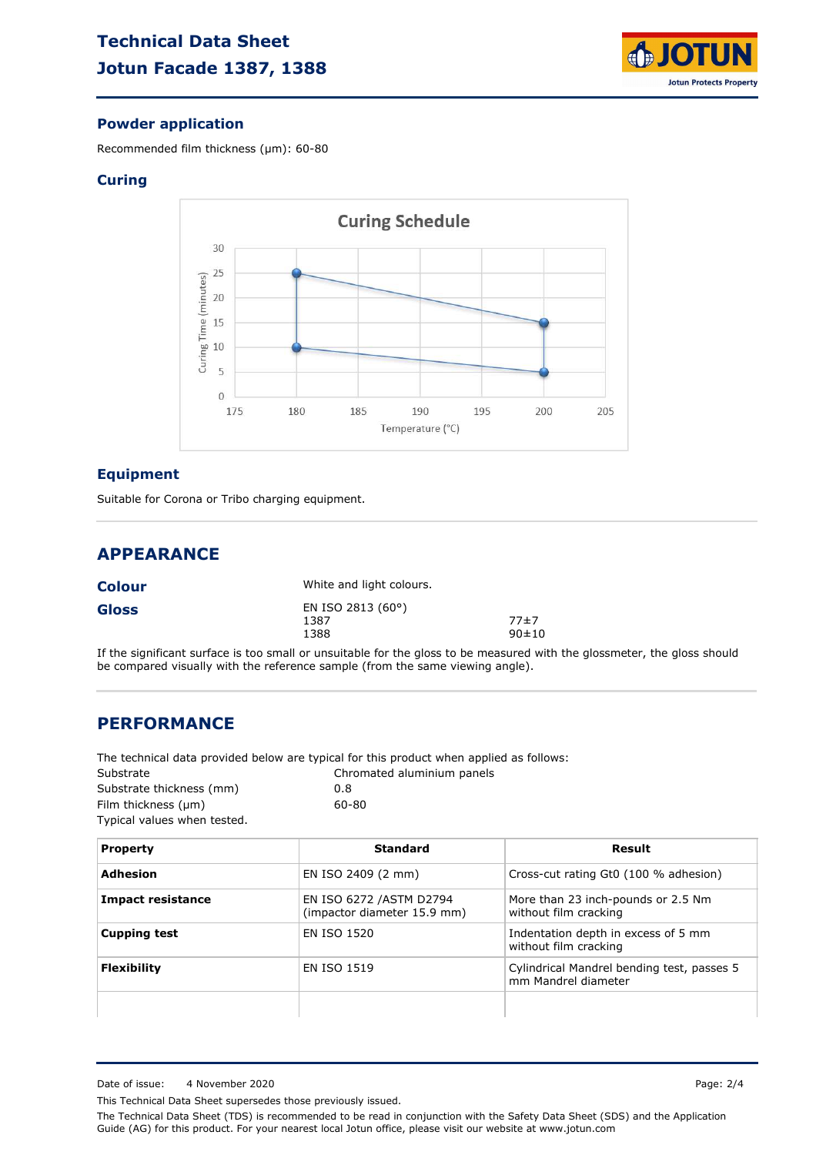

### **Powder application**

Recommended film thickness (µm): 60-80

#### **Curing**



#### **Equipment**

Suitable for Corona or Tribo charging equipment.

## **APPEARANCE**

| <b>Colour</b> | White and light colours.          |                     |
|---------------|-----------------------------------|---------------------|
| Gloss         | EN ISO 2813 (60°)<br>1387<br>1388 | 77±7<br>$90 \pm 10$ |

If the significant surface is too small or unsuitable for the gloss to be measured with the glossmeter, the gloss should be compared visually with the reference sample (from the same viewing angle).

### **PERFORMANCE**

The technical data provided below are typical for this product when applied as follows:

| Substrate                   | Chromated aluminium panels |
|-----------------------------|----------------------------|
| Substrate thickness (mm)    | 0.8                        |
| Film thickness $(\mu m)$    | 60-80                      |
| Typical values when tested. |                            |

| <b>Property</b>          | Standard                                                | Result                                                            |
|--------------------------|---------------------------------------------------------|-------------------------------------------------------------------|
| Adhesion                 | EN ISO 2409 (2 mm)                                      | Cross-cut rating Gt0 (100 % adhesion)                             |
| <b>Impact resistance</b> | EN ISO 6272 / ASTM D2794<br>(impactor diameter 15.9 mm) | More than 23 inch-pounds or 2.5 Nm<br>without film cracking       |
| <b>Cupping test</b>      | EN ISO 1520                                             | Indentation depth in excess of 5 mm<br>without film cracking      |
| <b>Flexibility</b>       | <b>EN ISO 1519</b>                                      | Cylindrical Mandrel bending test, passes 5<br>mm Mandrel diameter |
|                          |                                                         |                                                                   |

This Technical Data Sheet supersedes those previously issued.

The Technical Data Sheet (TDS) is recommended to be read in conjunction with the Safety Data Sheet (SDS) and the Application Guide (AG) for this product. For your nearest local Jotun office, please visit our website at www.jotun.com

Date of issue: 4 November 2020 **Page: 2/4**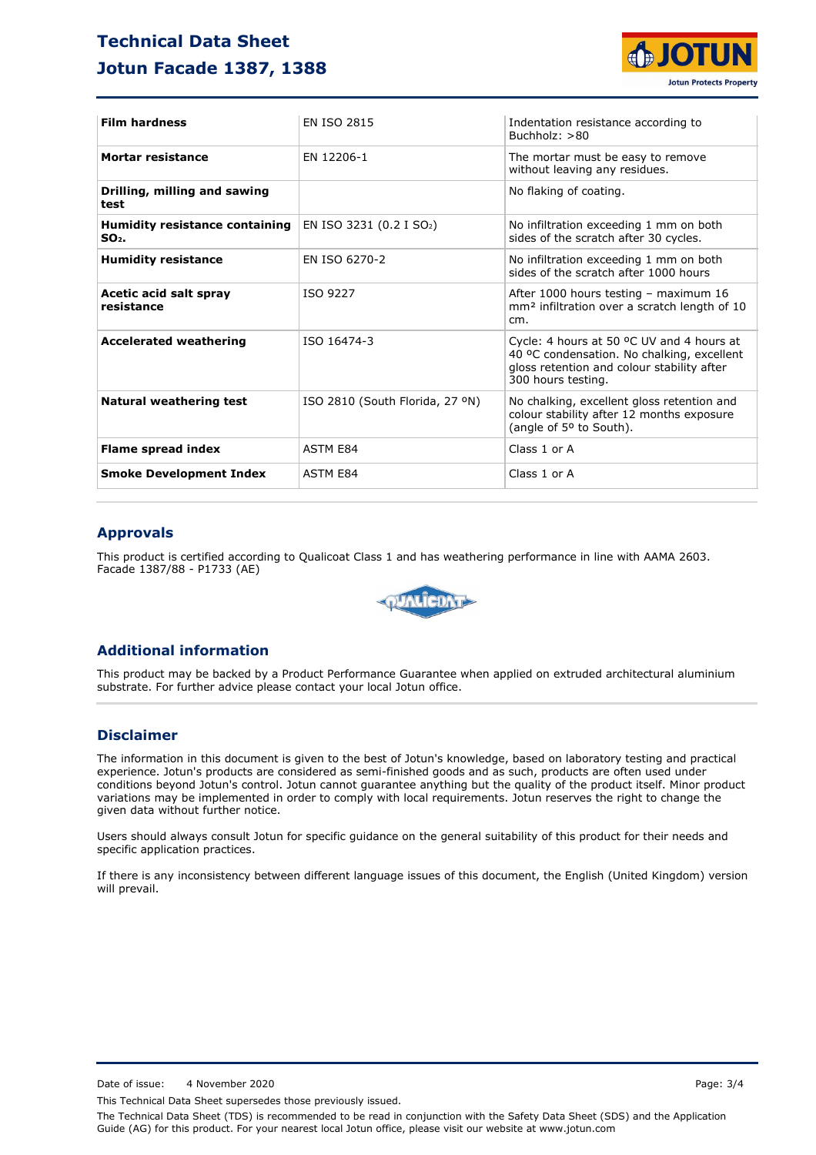# **Technical Data Sheet Jotun Facade 1387, 1388**



| <b>Film hardness</b>                             | <b>FN ISO 2815</b>                   | Indentation resistance according to<br>Buchholz: $>80$                                                                                                      |
|--------------------------------------------------|--------------------------------------|-------------------------------------------------------------------------------------------------------------------------------------------------------------|
| <b>Mortar resistance</b>                         | EN 12206-1                           | The mortar must be easy to remove<br>without leaving any residues.                                                                                          |
| Drilling, milling and sawing<br>test             |                                      | No flaking of coating.                                                                                                                                      |
| <b>Humidity resistance containing</b><br>$SO2$ . | EN ISO 3231 (0.2 I SO <sub>2</sub> ) | No infiltration exceeding 1 mm on both<br>sides of the scratch after 30 cycles.                                                                             |
| <b>Humidity resistance</b>                       | EN ISO 6270-2                        | No infiltration exceeding 1 mm on both<br>sides of the scratch after 1000 hours                                                                             |
| Acetic acid salt spray<br>resistance             | ISO 9227                             | After 1000 hours testing - maximum 16<br>mm <sup>2</sup> infiltration over a scratch length of 10<br>cm.                                                    |
| <b>Accelerated weathering</b>                    | ISO 16474-3                          | Cycle: 4 hours at 50 °C UV and 4 hours at<br>40 °C condensation. No chalking, excellent<br>gloss retention and colour stability after<br>300 hours testing. |
| <b>Natural weathering test</b>                   | ISO 2810 (South Florida, 27 °N)      | No chalking, excellent gloss retention and<br>colour stability after 12 months exposure<br>(angle of 5° to South).                                          |
| <b>Flame spread index</b>                        | <b>ASTM E84</b>                      | Class 1 or A                                                                                                                                                |
| <b>Smoke Development Index</b>                   | <b>ASTM E84</b>                      | Class 1 or A                                                                                                                                                |

#### **Approvals**

This product is certified according to Qualicoat Class 1 and has weathering performance in line with AAMA 2603. Facade 1387/88 - P1733 (AE)



#### **Additional information**

This product may be backed by a Product Performance Guarantee when applied on extruded architectural aluminium substrate. For further advice please contact your local Jotun office.

### **Disclaimer**

The information in this document is given to the best of Jotun's knowledge, based on laboratory testing and practical experience. Jotun's products are considered as semi-finished goods and as such, products are often used under conditions beyond Jotun's control. Jotun cannot guarantee anything but the quality of the product itself. Minor product variations may be implemented in order to comply with local requirements. Jotun reserves the right to change the given data without further notice.

Users should always consult Jotun for specific guidance on the general suitability of this product for their needs and specific application practices.

If there is any inconsistency between different language issues of this document, the English (United Kingdom) version will prevail.

Date of issue: 4 November 2020 **Page: 3/4** 

This Technical Data Sheet supersedes those previously issued.

The Technical Data Sheet (TDS) is recommended to be read in conjunction with the Safety Data Sheet (SDS) and the Application Guide (AG) for this product. For your nearest local Jotun office, please visit our website at www.jotun.com